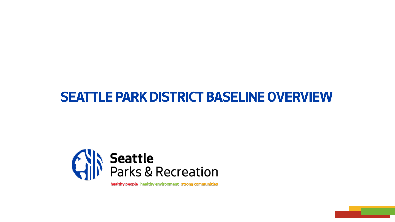# **SEATTLE PARK DISTRICT BASELINE OVERVIEW**



healthy people healthy environment strong communities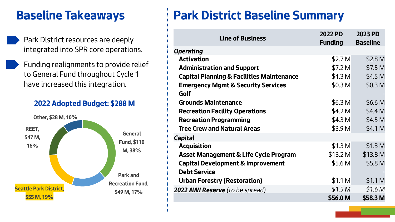- *Park District resources are deeply integrated into SPR core operations.*
- *Funding realignments to provide relief to General Fund throughout Cycle 1 have increased this integration.*

#### **2022 Adopted Budget: \$288 M**



# **Baseline Takeaways Park District Baseline Summary**

| <b>Line of Business</b>                              | 2022 PD<br><b>Funding</b> | 2023 PD<br><b>Baseline</b> |
|------------------------------------------------------|---------------------------|----------------------------|
| <b>Operating</b>                                     |                           |                            |
| <b>Activation</b>                                    | \$2.7 <sub>M</sub>        | \$2.8 <sub>M</sub>         |
| <b>Administration and Support</b>                    | \$7.2 <sub>M</sub>        | \$7.5 <sub>M</sub>         |
| <b>Capital Planning &amp; Facilities Maintenance</b> | \$4.3 <sub>M</sub>        | \$4.5 <sub>M</sub>         |
| <b>Emergency Mgmt &amp; Security Services</b>        | \$0.3 <sub>M</sub>        | \$0.3 <sub>M</sub>         |
| Golf                                                 |                           |                            |
| <b>Grounds Maintenance</b>                           | \$6.3 <sub>M</sub>        | \$6.6 <sub>M</sub>         |
| <b>Recreation Facility Operations</b>                | \$4.2 <sub>M</sub>        | \$4.4 M                    |
| <b>Recreation Programming</b>                        | \$4.3 <sub>M</sub>        | \$4.5 <sub>M</sub>         |
| <b>Tree Crew and Natural Areas</b>                   | \$3.9 <sub>M</sub>        | \$4.1 M                    |
| <b>Capital</b>                                       |                           |                            |
| <b>Acquisition</b>                                   | \$1.3 <sub>M</sub>        | \$1.3 <sub>M</sub>         |
| <b>Asset Management &amp; Life Cycle Program</b>     | \$13.2 M                  | \$13.8 M                   |
| <b>Capital Development &amp; Improvement</b>         | \$5.6 <sub>M</sub>        | \$5.8 M                    |
| <b>Debt Service</b>                                  |                           |                            |
| <b>Urban Forestry (Restoration)</b>                  | \$1.1 <sub>M</sub>        | \$1.1 <sub>M</sub>         |
| 2022 AWI Reserve (to be spread)                      | \$1.5 <sub>M</sub>        | \$1.6 <sub>M</sub>         |
|                                                      | \$56.0 M                  | \$58.3 M                   |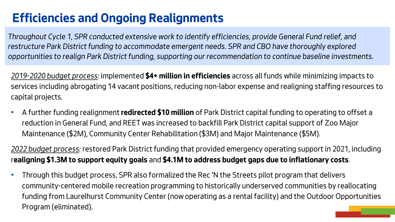# **Efficiencies and Ongoing Realignments**

*Throughout Cycle 1, SPR conducted extensive work to identify efficiencies, provide General Fund relief, and restructure Park District funding to accommodate emergent needs. SPR and CBO have thoroughly explored opportunities to realign Park District funding, supporting our recommendation to continue baseline investments.* 

*2019-2020 budget process: implemented* **\$4+ million in efficiencies** *across all funds while minimizing impacts to services including abrogating 14 vacant positions, reducing non-labor expense and realigning staffing resources to capital projects.*

• *A further funding realignment* **redirected \$10 million** *of Park District capital funding to operating to offset a reduction in General Fund, and REET was increased to backfill Park District capital support of Zoo Major Maintenance (\$2M), Community Center Rehabilitation (\$3M) and Major Maintenance (\$5M).*

*2022 budget process: restored Park District funding that provided emergency operating support in 2021, including r***ealigning \$1.3M to support equity goals** *and* **\$4.1M to address budget gaps due to inflationary costs***.*

• *Through this budget process, SPR also formalized the Rec 'N the Streets pilot program that delivers community-centered mobile recreation programming to historically underserved communities by reallocating funding from Laurelhurst Community Center (nowoperating as a rental facility) and the Outdoor Opportunities Program (eliminated).*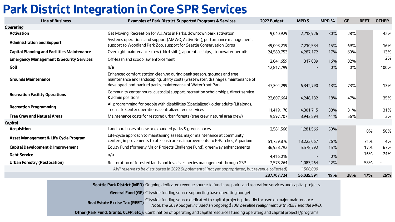## **Park District Integration in Core SPR Services**

| <b>Line of Business</b>                             | <b>Examples of Park District-Supported Programs &amp; Services</b>                                                                                                                                                         | 2022 Budget | MPD\$      | MPD $%$ | <b>GF</b> | <b>REET</b> | <b>OTHER</b> |
|-----------------------------------------------------|----------------------------------------------------------------------------------------------------------------------------------------------------------------------------------------------------------------------------|-------------|------------|---------|-----------|-------------|--------------|
| <b>Operating</b>                                    |                                                                                                                                                                                                                            |             |            |         |           |             |              |
| <b>Activation</b>                                   | Get Moving, Recreation for All, Arts in Parks, downtown park activation                                                                                                                                                    | 9,040,929   | 2,718,926  | 30%     | 28%       |             | 42%          |
| <b>Administration and Support</b>                   | Systems operations and support (AMWO, ActiveNet), performance management,<br>support to Woodland Park Zoo, support for Seattle Conservation Corps                                                                          | 49,003,219  | 7,210,534  | 15%     | 69%       |             | 16%          |
| <b>Capital Planning and Facilities Maintenance</b>  | Overnight maintenance crew (third shift), apprenticeships, stormwater permits                                                                                                                                              | 24,580,753  | 4,287,172  | 17%     | 69%       |             | 13%          |
| <b>Emergency Management &amp; Security Services</b> | Off-leash and scoop law enforcement                                                                                                                                                                                        | 2,041,659   | 317,039    | 16%     | 82%       |             | 2%           |
| Golf                                                | n/a                                                                                                                                                                                                                        | 12,817,799  |            | 0%      | 0%        |             | 100%         |
| <b>Grounds Maintenance</b>                          | Enhanced comfort station cleaning during peak season, grounds and tree<br>maintenance and landscaping, utility costs (wastewater, drainage), maintenance of<br>developed land-banked parks, maintenance of Waterfront Park | 47,304,299  | 6,342,790  | 13%     | 73%       |             | 13%          |
| <b>Recreation Facility Operations</b>               | Community center hours, custodial support, recreation scholarships, direct service<br>& admin positions                                                                                                                    | 23,607,664  | 4,248,132  | 18%     | 47%       |             | 35%          |
| <b>Recreation Programming</b>                       | All programming for people with disabilities (Specialized), older adults (Lifelong),<br>Teen Life Center operations, centralized teen services                                                                             | 11,419,178  | 4,301,715  | 38%     | 31%       |             | 31%          |
| <b>Tree Crew and Natural Areas</b>                  | Maintenance costs for restored urban forests (tree crew, natural area crew)                                                                                                                                                | 9,597,707   | 3,942,594  | 41%     | 56%       |             | 3%           |
| Capital                                             |                                                                                                                                                                                                                            |             |            |         |           |             |              |
| <b>Acquisition</b>                                  | Land purchases of new or expanded parks & green spaces                                                                                                                                                                     | 2,581,566   | 1,281,566  | 50%     |           | $0\%$       | 50%          |
| Asset Management & Life Cycle Program               | Life-cycle approach to maintaining assets, major maintenance at community<br>centers, improvements to off-leash areas, improvements to P-Patches, Aquarium                                                                 | 51,759,876  | 13,223,067 | 26%     |           | 71%         | 4%           |
| <b>Capital Development &amp; Improvement</b>        | Equity Fund (formerly Major Projects Challenge Fund), greenway enhancements                                                                                                                                                | 36,958,792  | 5,578,792  | 15%     |           | 17%         | 67%          |
| <b>Debt Service</b>                                 | n/a                                                                                                                                                                                                                        | 4,416,018   |            | 0%      |           | 76%         | 24%          |
| <b>Urban Forestry (Restoration)</b>                 | Restoration of forested lands and invasive species management through GSP                                                                                                                                                  | 2,578,264   | 1,083,264  | 42%     |           | 58%         |              |
|                                                     | AWI reserve to be distributed in 2022 Supplemental (not yet appropriated, but revenue collected)                                                                                                                           |             | 1,500,000  |         |           |             |              |
|                                                     |                                                                                                                                                                                                                            | 287,707,724 | 56,035,591 | 19%     | 38%       | 17%         | 26%          |

**Seattle Park District (MPD)** *Ongoing dedicated revenue source to fund core parks and recreation services and capital projects.*

**General Fund (GF)** *Citywide funding source supporting base operating budget.*

**Real Estate Excise Tax (REET)** *Citywide funding source dedicated to capital projects primarily focused on major maintenance. Note: the 2019 budget included an ongoing \$10M baseline realignment with REET and the MPD.*

**Other (Park Fund, Grants, CLFR, etc.):** *Combination of operating and capital resources funding operating and capital projects/programs.*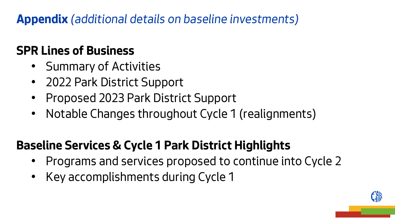**Appendix** *(additional details on baseline investments)*

# **SPR Lines of Business**

- *Summary of Activities*
- *2022 Park District Support*
- *Proposed 2023 Park District Support*
- *Notable Changes throughout Cycle 1 (realignments)*

# **Baseline Services & Cycle 1 Park District Highlights**

- *Programs and services proposed to continue into Cycle 2*
- *Key accomplishments during Cycle 1*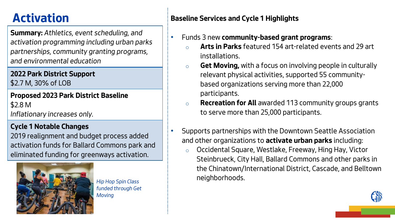**Summary:** *Athletics, event scheduling, and activation programming including urban parks partnerships, community granting programs, and environmental education*

## **2022 Park District Support**

*\$2.7 M, 30% of LOB*

**Proposed 2023 Park District Baseline** *\$2.8 M*

*Inflationary increases only.*

## **Cycle 1 Notable Changes**

*2019 realignment and budget process added activation funds for Ballard Commons park and eliminated funding for greenways activation.*



*funded through Get Moving*

## **Activation Baseline Services and Cycle 1 Highlights**

- *Funds 3 new* **community-based grant programs***:*
	- o **Arts in Parks** *featured 154 art-related events and 29 art installations.*
	- o **Get Moving,** *with a focus on involving people in culturally relevant physical activities, supported 55 communitybased organizations serving more than 22,000 participants.*
	- o **Recreation for All** *awarded 113 community groups grants to serve more than 25,000 participants.*
	- *Supports partnerships with the Downtown Seattle Association and other organizations to* **activate urban parks** *including:*
- o *Occidental Square, Westlake, Freeway, Hing Hay, Victor Steinbrueck, City Hall, Ballard Commons and other parks in the Chinatown/International District, Cascade, and Belltown neighborhoods. Hip Hop Spin Class*

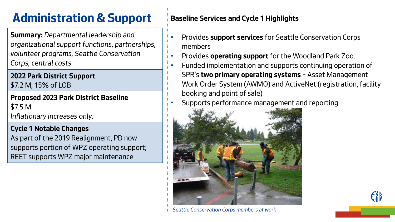# **Administration & Support** Baseline Services and Cycle 1 Highlights

**Summary:** *Departmental leadership and organizational support functions, partnerships, volunteer programs, Seattle Conservation Corps, central costs*

**2022 Park District Support** *\$7.2 M, 15% of LOB*

**Proposed 2023 Park District Baseline** *\$7.5 M*

*Inflationary increases only.*

## **Cycle 1 Notable Changes**

*As part of the 2019 Realignment, PD now supports portion of WPZ operating support; REET supports WPZ major maintenance*

- *Provides* **support services** *for Seattle Conservation Corps members*
- *Provides* **operating support** *for the Woodland Park Zoo.*
- *Funded implementation and supports continuing operation of SPR's* **two primary operating systems** *– Asset Management Work Order System (AWMO) and ActiveNet (registration, facility booking and point of sale)*
- *Supports performance management and reporting*



*Seattle Conservation Corps members at work*

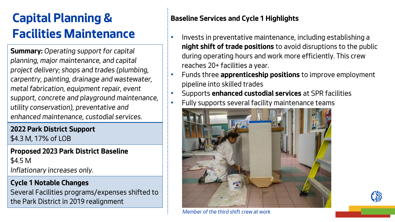# **Capital Planning & Facilities Maintenance**

**Summary:** *Operating support for capital planning, major maintenance, and capital project delivery; shops and trades (plumbing, carpentry, painting, drainage and wastewater, metal fabrication, equipment repair, event support, concrete and playground maintenance, utility conservation), preventative and enhanced maintenance, custodial services.*

**2022 Park District Support** *\$4.3 M, 17% of LOB*

**Proposed 2023 Park District Baseline** *\$4.5 M Inflationary increases only.*

### **Cycle 1 Notable Changes**

*Several Facilities programs/expenses shifted to the Park District in 2019 realignment*

- *Invests in preventative maintenance, including establishing a*  **night shift of trade positions** *to avoid disruptions to the public during operating hours and work more efficiently. This crew reaches 20+ facilities a year.*
- *Funds three* **apprenticeship positions** *to improve employment pipeline into skilled trades*
	- *Supports* **enhanced custodial services** *at SPR facilities*
	- *Fully supports several facility maintenance teams*





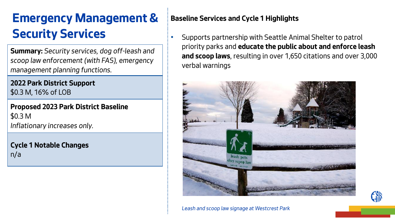# **Emergency Management & Security Services**

**Summary:** *Security services, dog off-leash and scoop law enforcement (with FAS), emergency management planning functions.*

**2022 Park District Support** *\$0.3 M, 16% of LOB*

**Proposed 2023 Park District Baseline** *\$0.3 M Inflationary increases only.*

**Cycle 1 Notable Changes** *n/a*

### **Baseline Services and Cycle 1 Highlights**

• *Supports partnership with Seattle Animal Shelter to patrol priority parks and* **educate the public about and enforce leash and scoop laws***, resulting in over 1,650 citations and over 3,000 verbal warnings*



*Leash and scoop law signage at Westcrest Park*

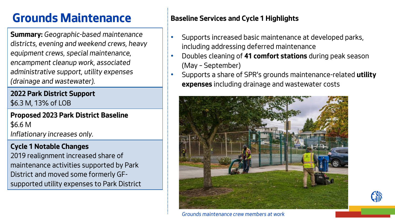# **Grounds Maintenance Baseline Services and Cycle 1 Highlights**

**Summary:** *Geographic-based maintenance districts, evening and weekend crews, heavy equipment crews, special maintenance, encampment cleanup work, associated administrative support, utility expenses (drainage and wastewater).*

**2022 Park District Support** *\$6.3 M, 13% of LOB*

**Proposed 2023 Park District Baseline** *\$6.6 M Inflationary increases only.*

### **Cycle 1 Notable Changes**

*2019 realignment increased share of maintenance activities supported by Park District and moved some formerly GFsupported utility expenses to Park District*

- *Supports increased basic maintenance at developed parks, including addressing deferred maintenance*
- *Doubles cleaning of* **41 comfort stations** *during peak season (May – September)*
- *Supports a share of SPR's grounds maintenance-related* **utility expenses** *including drainage and wastewater costs*



*Grounds maintenance crew members at work*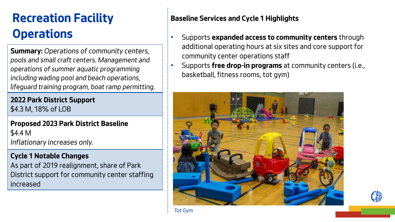# **Recreation Facility Operations**

**Summary:** *Operations of community centers, pools and small craft centers. Management and operations of summer aquatic programming including wading pool and beach operations, lifeguard training program, boat ramp permitting.* 

**2022 Park District Support** *\$4.3 M, 18% of LOB*

**Proposed 2023 Park District Baseline** *\$4.4 M Inflationary increases only.*

### **Cycle 1 Notable Changes**

*As part of 2019 realignment, share of Park District support for community center staffing increased*

- *Supports* **expanded access to community centers** *through additional operating hours at six sites and core support for community center operations staff*
- *Supports* **free drop-in programs** *at community centers (i.e., basketball, fitness rooms, tot gym)*



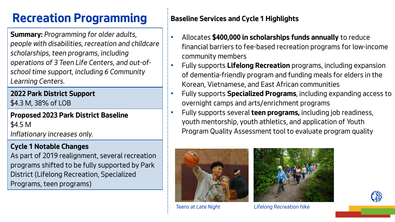# **Recreation Programming** Baseline Services and Cycle 1 Highlights

**Summary:** *Programming for older adults, people with disabilities, recreation and childcare scholarships, teen programs, including operations of 3 Teen Life Centers, and out-ofschool time support, including 6 Community Learning Centers.*

**2022 Park District Support** *\$4.3 M, 38% of LOB*

**Proposed 2023 Park District Baseline** *\$4.5 M Inflationary increases only.*

### **Cycle 1 Notable Changes**

*As part of 2019 realignment, several recreation programs shifted to be fully supported by Park District (Lifelong Recreation, Specialized Programs, teen programs)*

- *Allocates* **\$400,000 in scholarships funds annually** *to reduce financial barriers to fee-based recreation programs for low-income community members*
- *Fully supports* **Lifelong Recreation** *programs, including expansion of dementia-friendly program and funding meals for elders in the Korean, Vietnamese, and East African communities*
- *Fully supports* **Specialized Programs***, including expanding access to overnight camps and arts/enrichment programs*
- *Fully supports several* **teen programs,** *including job readiness, youth mentorship, youth athletics, and application of Youth Program Quality Assessment tool to evaluate program quality*



*Teens at Late Night*



*Lifelong Recreation hike*

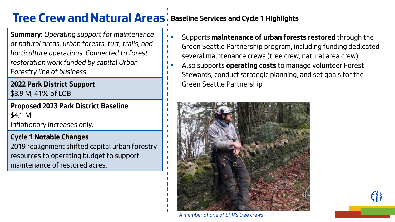## **Tree Crew and Natural Areas** Baseline Services and Cycle 1 Highlights

**Summary:** *Operating support for maintenance of natural areas, urban forests, turf, trails, and horticulture operations. Connected to forest restoration work funded by capital Urban Forestry line of business.*

**2022 Park District Support** *\$3.9 M, 41% of LOB*

**Proposed 2023 Park District Baseline** *\$4.1 M Inflationary increases only.*

#### **Cycle 1 Notable Changes**

*2019 realignment shifted capital urban forestry resources to operating budget to support maintenance of restored acres.*

- *Supports* **maintenance of urban forests restored** *through the Green Seattle Partnership program, including funding dedicated several maintenance crews (tree crew, natural area crew)*
- *Also supports* **operating costs** *to manage volunteer Forest Stewards, conduct strategic planning, and set goals for the Green Seattle Partnership*



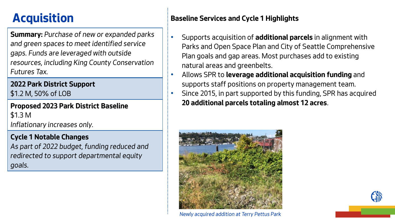**Summary:** *Purchase of new or expanded parks and green spaces to meet identified service gaps. Funds are leveraged with outside resources, including King County Conservation Futures Tax.*

## **2022 Park District Support**

*\$1.2 M, 50% of LOB*

**Proposed 2023 Park District Baseline** *\$1.3 M Inflationary increases only.*

### **Cycle 1 Notable Changes**

*As part of 2022 budget, funding reduced and redirected to support departmental equity goals.*

## **Acquisition Baseline Services and Cycle 1 Highlights**

- *Supports acquisition of* **additional parcels** *in alignment with Parks and Open Space Plan and City of Seattle Comprehensive Plan goals and gap areas. Most purchases add to existing natural areas and greenbelts.*
- *Allows SPR to* **leverage additional acquisition funding** *and supports staff positions on property management team.*
- *Since 2015, in part supported by this funding, SPR has acquired*  **20 additional parcels totaling almost 12 acres***.*





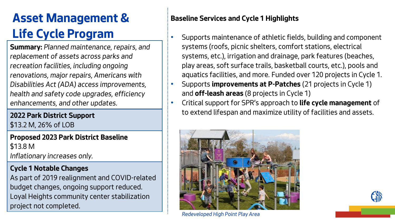# **Asset Management & Life Cycle Program**

**Summary:** *Planned maintenance, repairs, and replacement of assets across parks and recreation facilities, including ongoing renovations, major repairs, Americans with Disabilities Act (ADA) access improvements, health and safety code upgrades, efficiency enhancements, and other updates.*

**2022 Park District Support** *\$13.2 M, 26% of LOB*

**Proposed 2023 Park District Baseline** *\$13.8 M Inflationary increases only.*

## **Cycle 1 Notable Changes**

*As part of 2019 realignment and COVID-related budget changes, ongoing support reduced. Loyal Heights community center stabilization project not completed.*

- *Supports maintenance of athletic fields, building and component systems (roofs, picnic shelters, comfort stations, electrical systems, etc.), irrigation and drainage, park features (beaches, play areas, soft surface trails, basketball courts, etc.), pools and aquatics facilities, and more. Funded over 120 projects in Cycle 1.*
- *Supports* **improvements at P-Patches** *(21 projects in Cycle 1) and* **off-leash areas** *(8 projects in Cycle 1)*
- *Critical support for SPR's approach to* **life cycle management** *of to extend lifespan and maximize utility of facilities and assets.*



*Redeveloped High Point Play Area*

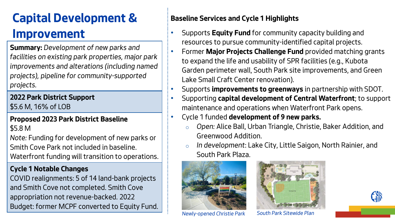# **Capital Development & Improvement**

**Summary:** *Development of new parks and facilities on existing park properties, major park improvements and alterations (including named projects), pipeline for community-supported projects.* 

**2022 Park District Support** *\$5.6 M, 16% of LOB*

## **Proposed 2023 Park District Baseline**

*\$5.8 M*

*Note: Funding for development of new parks or Smith Cove Park not included in baseline. Waterfront funding will transition to operations.*

## **Cycle 1 Notable Changes**

*COVID realignments: 5 of 14 land-bank projects and Smith Cove not completed. Smith Cove appropriation not revenue-backed. 2022 Budget: former MCPF converted to Equity Fund.* 

- *Supports* **Equity Fund** *for community capacity building and resources to pursue community-identified capital projects.*
	- *Former* **Major Projects Challenge Fund** *provided matching grants to expand the life and usability of SPR facilities (e.g., Kubota Garden perimeter wall, South Park site improvements, and Green Lake Small Craft Center renovation).*
- *Supports* **improvements to greenways** *in partnership with SDOT.*
- *Supporting* **capital development of Central Waterfront***; to support maintenance and operations when Waterfront Park opens.*
- *Cycle 1 funded* **development of 9 new parks.** 
	- o *Open: Alice Ball, Urban Triangle, Christie, Baker Addition, and Greenwood Addition.*
	- o *In development: Lake City, Little Saigon, North Rainier, and South Park Plaza.*



*Newly-opened Christie Park South Park Sitewide Plan*